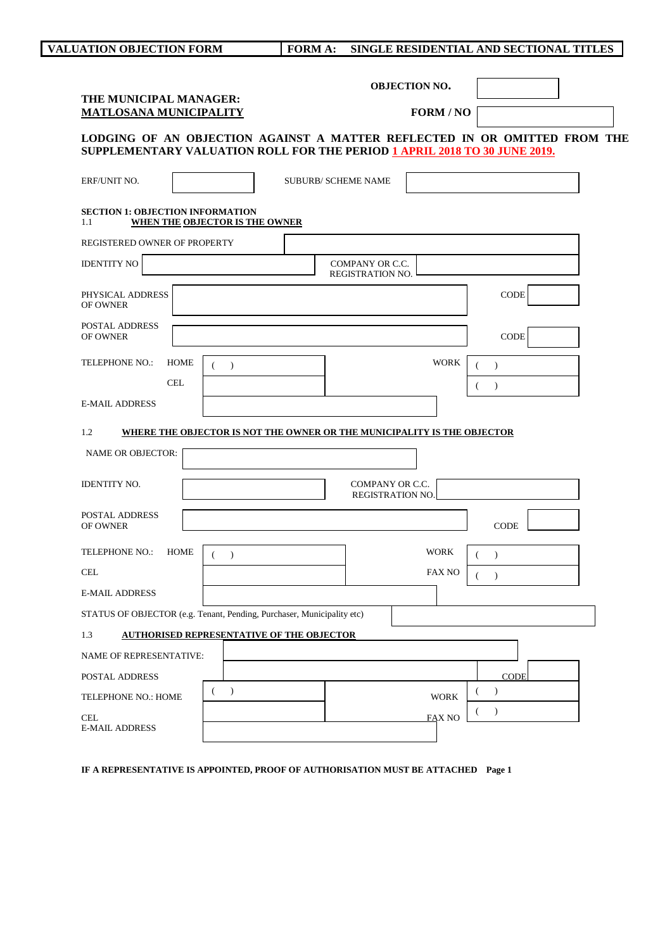| <b>VALUATION OBJECTION FORM</b>                                                  | SINGLE RESIDENTIAL AND SECTIONAL TITLES<br><b>FORM A:</b>                                                                                                     |
|----------------------------------------------------------------------------------|---------------------------------------------------------------------------------------------------------------------------------------------------------------|
| THE MUNICIPAL MANAGER:<br><b>MATLOSANA MUNICIPALITY</b>                          | <b>OBJECTION NO.</b><br><b>FORM / NO</b>                                                                                                                      |
|                                                                                  | LODGING OF AN OBJECTION AGAINST A MATTER REFLECTED IN OR OMITTED FROM THE<br><b>SUPPLEMENTARY VALUATION ROLL FOR THE PERIOD 1 APRIL 2018 TO 30 JUNE 2019.</b> |
| ERF/UNIT NO.                                                                     | <b>SUBURB/ SCHEME NAME</b>                                                                                                                                    |
| <b>SECTION 1: OBJECTION INFORMATION</b><br>WHEN THE OBJECTOR IS THE OWNER<br>1.1 |                                                                                                                                                               |
| REGISTERED OWNER OF PROPERTY                                                     |                                                                                                                                                               |
| <b>IDENTITY NO</b>                                                               | COMPANY OR C.C.<br><b>REGISTRATION NO.</b>                                                                                                                    |
| PHYSICAL ADDRESS<br>OF OWNER                                                     | CODE                                                                                                                                                          |
| POSTAL ADDRESS<br>OF OWNER                                                       | CODE                                                                                                                                                          |
| TELEPHONE NO.:<br><b>HOME</b><br>$\left($<br>$\rightarrow$                       | <b>WORK</b><br>$\left($<br>$\rightarrow$                                                                                                                      |
| <b>CEL</b>                                                                       | $\left($<br>$\rightarrow$                                                                                                                                     |
| <b>E-MAIL ADDRESS</b>                                                            |                                                                                                                                                               |
| 1.2<br><b>NAME OR OBJECTOR:</b><br><b>IDENTITY NO.</b>                           | WHERE THE OBJECTOR IS NOT THE OWNER OR THE MUNICIPALITY IS THE OBJECTOR<br>COMPANY OR C.C.<br><b>REGISTRATION NO.</b>                                         |
| POSTAL ADDRESS<br>OF OWNER                                                       | <b>CODE</b>                                                                                                                                                   |
| TELEPHONE NO.:<br><b>HOME</b><br>$\lambda$                                       | <b>WORK</b><br>$\left($<br>$\lambda$                                                                                                                          |
| $\operatorname{CEL}$                                                             | <b>FAX NO</b><br>$\overline{(\ }$<br>$\rightarrow$                                                                                                            |
| <b>E-MAIL ADDRESS</b>                                                            |                                                                                                                                                               |
| STATUS OF OBJECTOR (e.g. Tenant, Pending, Purchaser, Municipality etc)           |                                                                                                                                                               |
| <b>AUTHORISED REPRESENTATIVE OF THE OBJECTOR</b><br>1.3                          |                                                                                                                                                               |
| NAME OF REPRESENTATIVE:                                                          |                                                                                                                                                               |
|                                                                                  |                                                                                                                                                               |
| POSTAL ADDRESS                                                                   | CODE                                                                                                                                                          |
| $\lambda$<br>TELEPHONE NO.: HOME                                                 | $\mathcal{E}$<br>$\left($<br><b>WORK</b>                                                                                                                      |

**IF A REPRESENTATIVE IS APPOINTED, PROOF OF AUTHORISATION MUST BE ATTACHED Page 1**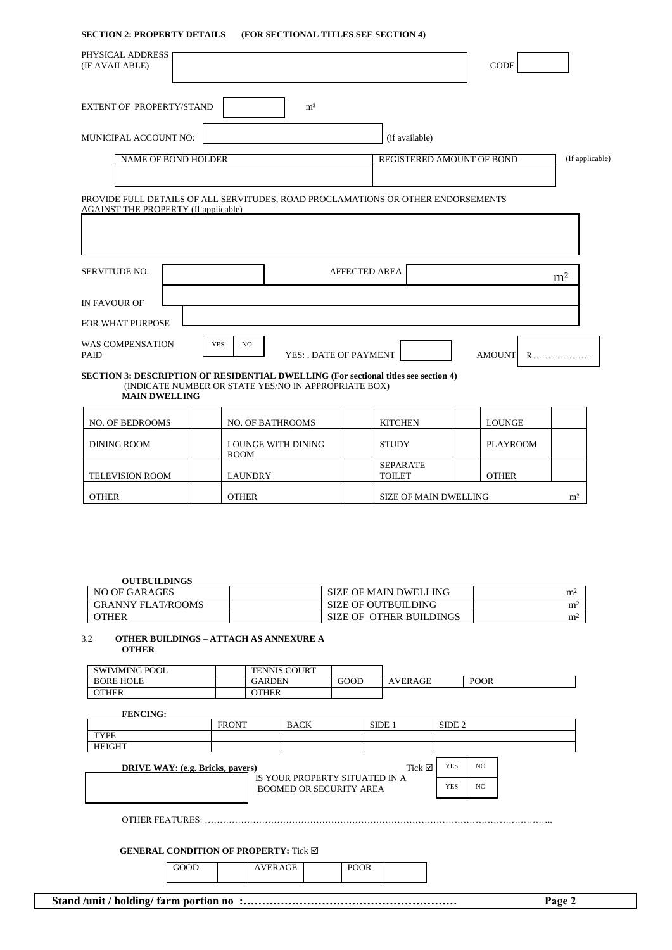#### **SECTION 2: PROPERTY DETAILS (FOR SECTIONAL TITLES SEE SECTION 4)**

| PHYSICAL ADDRESS<br>(IF AVAILABLE)                                                                                              |                   |                                                      |                        |                           | CODE            |                 |
|---------------------------------------------------------------------------------------------------------------------------------|-------------------|------------------------------------------------------|------------------------|---------------------------|-----------------|-----------------|
| <b>EXTENT OF PROPERTY/STAND</b>                                                                                                 |                   | m <sup>2</sup>                                       |                        |                           |                 |                 |
| MUNICIPAL ACCOUNT NO:                                                                                                           |                   |                                                      |                        | (if available)            |                 |                 |
| <b>NAME OF BOND HOLDER</b>                                                                                                      |                   |                                                      |                        | REGISTERED AMOUNT OF BOND |                 | (If applicable) |
| PROVIDE FULL DETAILS OF ALL SERVITUDES, ROAD PROCLAMATIONS OR OTHER ENDORSEMENTS<br><b>AGAINST THE PROPERTY (If applicable)</b> |                   |                                                      |                        |                           |                 |                 |
| SERVITUDE NO.                                                                                                                   |                   |                                                      | <b>AFFECTED AREA</b>   |                           |                 | m <sup>2</sup>  |
| <b>IN FAVOUR OF</b>                                                                                                             |                   |                                                      |                        |                           |                 |                 |
| FOR WHAT PURPOSE                                                                                                                |                   |                                                      |                        |                           |                 |                 |
| <b>WAS COMPENSATION</b><br>PAID                                                                                                 | <b>YES</b><br>NO. |                                                      | YES: . DATE OF PAYMENT |                           | <b>AMOUNT</b>   | $R$             |
| <b>SECTION 3: DESCRIPTION OF RESIDENTIAL DWELLING (For sectional titles see section 4)</b><br><b>MAIN DWELLING</b>              |                   | (INDICATE NUMBER OR STATE YES/NO IN APPROPRIATE BOX) |                        |                           |                 |                 |
| <b>NO. OF BEDROOMS</b>                                                                                                          |                   | <b>NO. OF BATHROOMS</b>                              | <b>KITCHEN</b>         |                           | <b>LOUNGE</b>   |                 |
| <b>DINING ROOM</b>                                                                                                              | <b>ROOM</b>       | <b>LOUNGE WITH DINING</b>                            | <b>STUDY</b>           |                           | <b>PLAYROOM</b> |                 |

TELEVISION ROOM LAUNDRY

| <b>OUTBUILDINGS</b>      |                         |                |
|--------------------------|-------------------------|----------------|
| NO OF GARAGES            | SIZE OF MAIN DWELLING   | m              |
| <b>GRANNY FLAT/ROOMS</b> | SIZE OF OUTBUILDING     | m <sup>2</sup> |
| OTHER                    | SIZE OF OTHER BUILDINGS | m <sup>2</sup> |

OTHER OTHER SIZE OF MAIN DWELLING  $m^2$ 

SEPARATE

TOILET | OTHER

# 3.2 **OTHER BUILDINGS – ATTACH AS ANNEXURE A**

**OTHER**

| <b>SWIMMING POOL</b> | <b>TENNIS COURT</b> |      |               |             |
|----------------------|---------------------|------|---------------|-------------|
| <b>BORE HOLE</b>     | GARDEN              | GOOD | <b>VERAGE</b> | <b>POOR</b> |
| <b>OTHER</b>         | <b>YTHER</b>        |      |               |             |

| <b>FENCING:</b>                         |                                              |             |                   |                   |  |  |
|-----------------------------------------|----------------------------------------------|-------------|-------------------|-------------------|--|--|
|                                         | <b>FRONT</b>                                 | <b>BACK</b> | SIDE <sub>1</sub> | SIDE <sub>2</sub> |  |  |
| <b>TYPE</b>                             |                                              |             |                   |                   |  |  |
| <b>HEIGHT</b>                           |                                              |             |                   |                   |  |  |
| <b>DRIVE WAY: (e.g. Bricks, pavers)</b> | <b>YES</b><br>Tick $\boxtimes$<br><b>YES</b> | NO.<br>NO.  |                   |                   |  |  |
| OTHER FEATURES:                         |                                              |             |                   |                   |  |  |

#### **GENERAL CONDITION OF PROPERTY:** Tick

GOOD | AVERAGE | POOR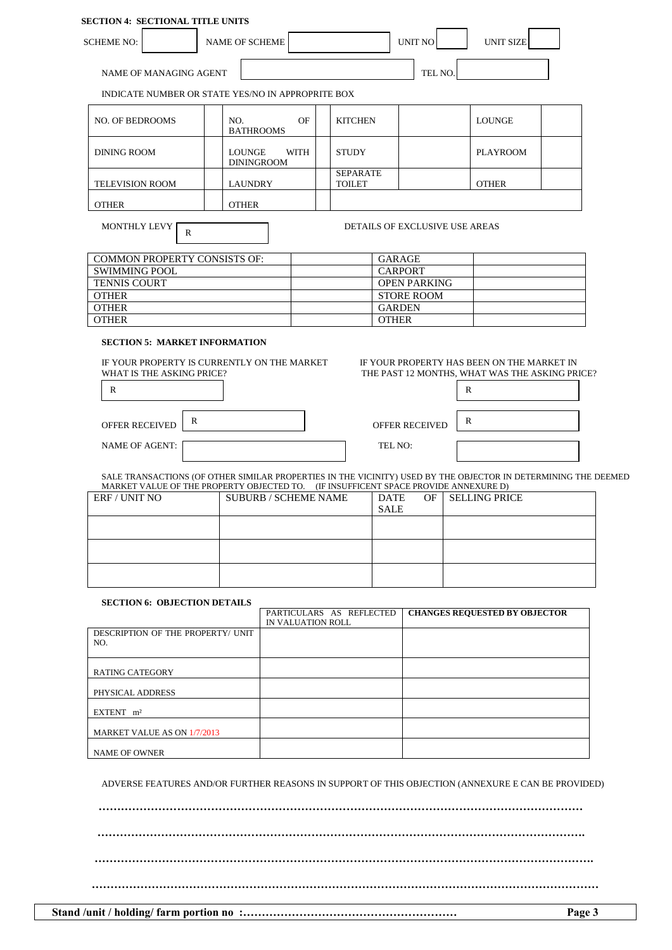| <b>SECTION 4: SECTIONAL TITLE UNITS</b>                                                                               |                             |                   |           |                                  |               |                                       |   |                                                                                              |  |
|-----------------------------------------------------------------------------------------------------------------------|-----------------------------|-------------------|-----------|----------------------------------|---------------|---------------------------------------|---|----------------------------------------------------------------------------------------------|--|
| <b>SCHEME NO:</b>                                                                                                     | <b>NAME OF SCHEME</b>       |                   |           |                                  |               | <b>UNIT NO</b>                        |   | <b>UNIT SIZE</b>                                                                             |  |
| NAME OF MANAGING AGENT                                                                                                |                             |                   |           |                                  |               | TEL NO.                               |   |                                                                                              |  |
| INDICATE NUMBER OR STATE YES/NO IN APPROPRITE BOX                                                                     |                             |                   |           |                                  |               |                                       |   |                                                                                              |  |
| <b>NO. OF BEDROOMS</b>                                                                                                | NO.<br><b>BATHROOMS</b>     |                   | <b>OF</b> | <b>KITCHEN</b>                   |               |                                       |   | LOUNGE                                                                                       |  |
| <b>DINING ROOM</b>                                                                                                    | LOUNGE<br>DININGROOM        |                   | WITH      | <b>STUDY</b>                     |               |                                       |   | <b>PLAYROOM</b>                                                                              |  |
| <b>TELEVISION ROOM</b>                                                                                                | <b>LAUNDRY</b>              |                   |           | <b>SEPARATE</b><br><b>TOILET</b> |               |                                       |   | <b>OTHER</b>                                                                                 |  |
| <b>OTHER</b>                                                                                                          | <b>OTHER</b>                |                   |           |                                  |               |                                       |   |                                                                                              |  |
| MONTHLY LEVY<br>R                                                                                                     |                             |                   |           |                                  |               | DETAILS OF EXCLUSIVE USE AREAS        |   |                                                                                              |  |
| <b>COMMON PROPERTY CONSISTS OF:</b>                                                                                   |                             |                   |           |                                  | GARAGE        |                                       |   |                                                                                              |  |
| <b>SWIMMING POOL</b><br><b>TENNIS COURT</b>                                                                           |                             |                   |           |                                  |               | <b>CARPORT</b><br><b>OPEN PARKING</b> |   |                                                                                              |  |
| <b>OTHER</b>                                                                                                          |                             |                   |           |                                  |               | <b>STORE ROOM</b>                     |   |                                                                                              |  |
| <b>OTHER</b>                                                                                                          |                             |                   |           |                                  | <b>GARDEN</b> |                                       |   |                                                                                              |  |
| <b>OTHER</b>                                                                                                          |                             |                   |           |                                  | <b>OTHER</b>  |                                       |   |                                                                                              |  |
| <b>SECTION 5: MARKET INFORMATION</b><br>IF YOUR PROPERTY IS CURRENTLY ON THE MARKET<br>WHAT IS THE ASKING PRICE?<br>R |                             |                   |           |                                  |               |                                       | R | IF YOUR PROPERTY HAS BEEN ON THE MARKET IN<br>THE PAST 12 MONTHS, WHAT WAS THE ASKING PRICE? |  |
| R<br><b>OFFER RECEIVED</b>                                                                                            |                             |                   |           |                                  |               | <b>OFFER RECEIVED</b>                 | R |                                                                                              |  |
| <b>NAME OF AGENT:</b>                                                                                                 |                             |                   |           |                                  | TEL NO:       |                                       |   |                                                                                              |  |
| SALE TRANSACTIONS (OF OTHER SIMILAR PROPERTIES IN THE VICINITY) USED BY THE OBJECTOR IN DETERMINING THE DEEMED        |                             |                   |           |                                  |               |                                       |   |                                                                                              |  |
| MARKET VALUE OF THE PROPERTY OBJECTED TO. (IF INSUFFICENT SPACE PROVIDE ANNEXURE D)<br>ERF / UNIT NO                  | <b>SUBURB / SCHEME NAME</b> |                   |           |                                  | DATE          | OF.                                   |   | <b>SELLING PRICE</b>                                                                         |  |
|                                                                                                                       |                             |                   |           |                                  | <b>SALE</b>   |                                       |   |                                                                                              |  |
|                                                                                                                       |                             |                   |           |                                  |               |                                       |   |                                                                                              |  |
|                                                                                                                       |                             |                   |           |                                  |               |                                       |   |                                                                                              |  |
|                                                                                                                       |                             |                   |           |                                  |               |                                       |   |                                                                                              |  |
| <b>SECTION 6: OBJECTION DETAILS</b>                                                                                   |                             |                   |           | PARTICULARS AS REFLECTED         |               |                                       |   | <b>CHANGES REQUESTED BY OBJECTOR</b>                                                         |  |
| DESCRIPTION OF THE PROPERTY/ UNIT<br>NO.                                                                              |                             | IN VALUATION ROLL |           |                                  |               |                                       |   |                                                                                              |  |
| <b>RATING CATEGORY</b>                                                                                                |                             |                   |           |                                  |               |                                       |   |                                                                                              |  |
| PHYSICAL ADDRESS                                                                                                      |                             |                   |           |                                  |               |                                       |   |                                                                                              |  |
| EXTENT m <sup>2</sup>                                                                                                 |                             |                   |           |                                  |               |                                       |   |                                                                                              |  |
| MARKET VALUE AS ON 1/7/2013                                                                                           |                             |                   |           |                                  |               |                                       |   |                                                                                              |  |
| <b>NAME OF OWNER</b>                                                                                                  |                             |                   |           |                                  |               |                                       |   |                                                                                              |  |
| ADVERSE FEATURES AND/OR FURTHER REASONS IN SUPPORT OF THIS OBJECTION (ANNEXURE E CAN BE PROVIDED)                     |                             |                   |           |                                  |               |                                       |   |                                                                                              |  |

 **………………………………………………………………………………………………………………….**

 **…………………………………………………………………………………………………………………….**

 **………………………………………………………………………………………………………………………**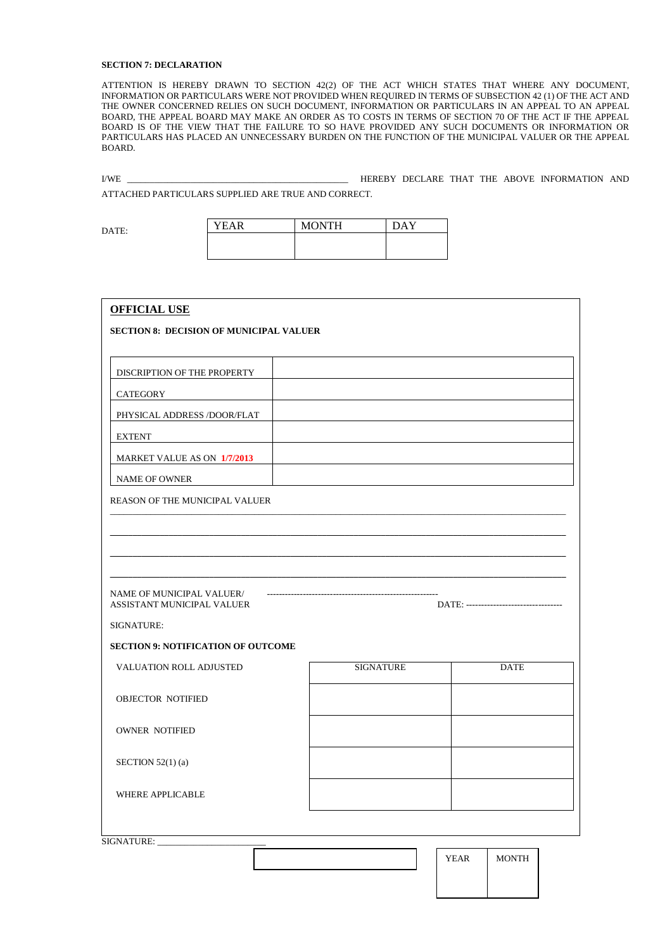#### **SECTION 7: DECLARATION**

ATTENTION IS HEREBY DRAWN TO SECTION 42(2) OF THE ACT WHICH STATES THAT WHERE ANY DOCUMENT, INFORMATION OR PARTICULARS WERE NOT PROVIDED WHEN REQUIRED IN TERMS OF SUBSECTION 42 (1) OF THE ACT AND THE OWNER CONCERNED RELIES ON SUCH DOCUMENT, INFORMATION OR PARTICULARS IN AN APPEAL TO AN APPEAL BOARD, THE APPEAL BOARD MAY MAKE AN ORDER AS TO COSTS IN TERMS OF SECTION 70 OF THE ACT IF THE APPEAL BOARD IS OF THE VIEW THAT THE FAILURE TO SO HAVE PROVIDED ANY SUCH DOCUMENTS OR INFORMATION OR PARTICULARS HAS PLACED AN UNNECESSARY BURDEN ON THE FUNCTION OF THE MUNICIPAL VALUER OR THE APPEAL BOARD.

| I/WE |  |  |  | HEREBY DECLARE THAT THE ABOVE INFORMATION | AND |
|------|--|--|--|-------------------------------------------|-----|
|      |  |  |  |                                           |     |

ATTACHED PARTICULARS SUPPLIED ARE TRUE AND CORRECT.

DATE:

| <b>YFAR</b> | <b>MONTH</b> | $\lambda Y$ |
|-------------|--------------|-------------|
|             |              |             |
|             |              |             |

| <b>OFFICIAL USE</b>                            |                  |                                          |
|------------------------------------------------|------------------|------------------------------------------|
| <b>SECTION 8: DECISION OF MUNICIPAL VALUER</b> |                  |                                          |
|                                                |                  |                                          |
| DISCRIPTION OF THE PROPERTY                    |                  |                                          |
| CATEGORY                                       |                  |                                          |
| PHYSICAL ADDRESS /DOOR/FLAT                    |                  |                                          |
| <b>EXTENT</b>                                  |                  |                                          |
| MARKET VALUE AS ON 1/7/2013                    |                  |                                          |
| NAME OF OWNER                                  |                  |                                          |
| REASON OF THE MUNICIPAL VALUER                 |                  |                                          |
|                                                |                  |                                          |
|                                                |                  |                                          |
|                                                |                  |                                          |
| NAME OF MUNICIPAL VALUER/                      |                  |                                          |
| ASSISTANT MUNICIPAL VALUER                     |                  | DATE: ---------------------------------- |
| SIGNATURE:                                     |                  |                                          |
| <b>SECTION 9: NOTIFICATION OF OUTCOME</b>      |                  |                                          |
| VALUATION ROLL ADJUSTED                        | <b>SIGNATURE</b> | <b>DATE</b>                              |
| <b>OBJECTOR NOTIFIED</b>                       |                  |                                          |
|                                                |                  |                                          |
| <b>OWNER NOTIFIED</b>                          |                  |                                          |
| SECTION $52(1)$ (a)                            |                  |                                          |
|                                                |                  |                                          |
| <b>WHERE APPLICABLE</b>                        |                  |                                          |
|                                                |                  |                                          |
| SIGNATURE:                                     |                  |                                          |

YEAR | MONTH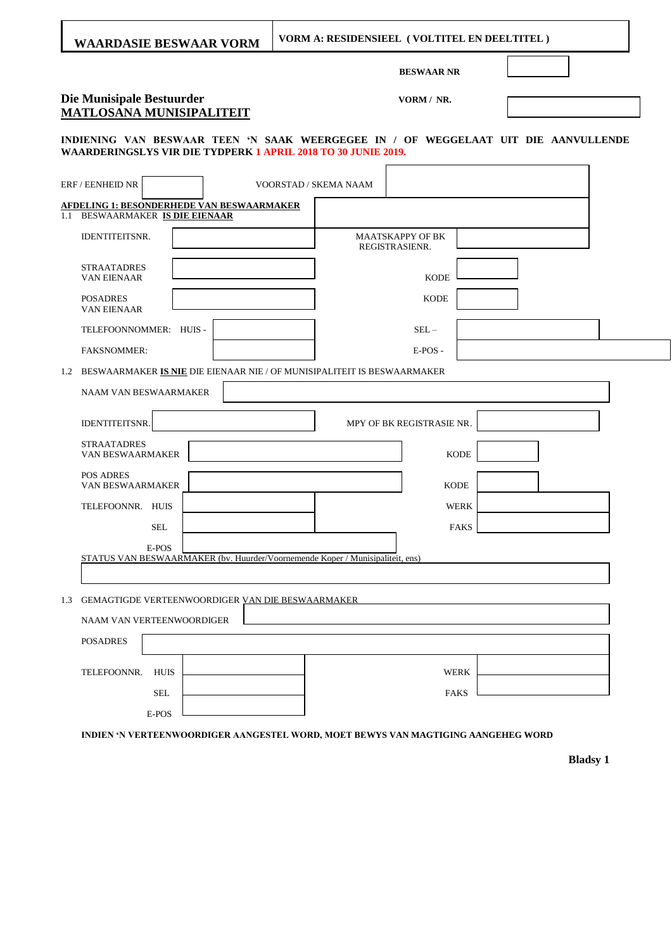| <b>WAARDASIE BESWAAR VORM</b>                                                          | VORM A: RESIDENSIEEL (VOLTITEL EN DEELTITEL)                                       |
|----------------------------------------------------------------------------------------|------------------------------------------------------------------------------------|
|                                                                                        | <b>BESWAAR NR</b>                                                                  |
| Die Munisipale Bestuurder<br><b>MATLOSANA MUNISIPALITEIT</b>                           | VORM / NR.                                                                         |
| <b>WAARDERINGSLYS VIR DIE TYDPERK 1 APRIL 2018 TO 30 JUNIE 2019.</b>                   | INDIENING VAN BESWAAR TEEN 'N SAAK WEERGEGEE IN / OF WEGGELAAT UIT DIE AANVULLENDE |
| ERF / EENHEID NR                                                                       | VOORSTAD / SKEMA NAAM                                                              |
| <b>AFDELING 1: BESONDERHEDE VAN BESWAARMAKER</b><br>1.1 BESWAARMAKER IS DIE EIENAAR    |                                                                                    |
| <b>IDENTITEITSNR.</b>                                                                  | <b>MAATSKAPPY OF BK</b><br>REGISTRASIENR.                                          |
| <b>STRAATADRES</b><br><b>VAN EIENAAR</b>                                               | <b>KODE</b>                                                                        |
| <b>POSADRES</b><br><b>VAN EIENAAR</b>                                                  | <b>KODE</b>                                                                        |
| TELEFOONNOMMER: HUIS-                                                                  | $SEL -$                                                                            |
| <b>FAKSNOMMER:</b>                                                                     | $E-POS-$                                                                           |
| 1.2 BESWAARMAKER IS NIE DIE EIENAAR NIE / OF MUNISIPALITEIT IS BESWAARMAKER            |                                                                                    |
| NAAM VAN BESWAARMAKER                                                                  |                                                                                    |
| IDENTITEITSNR.                                                                         | MPY OF BK REGISTRASIE NR.                                                          |
| <b>STRAATADRES</b><br>VAN BESWAARMAKER                                                 | <b>KODE</b>                                                                        |
| POS ADRES<br>VAN BESWAARMAKER                                                          | <b>KODE</b>                                                                        |
| TELEFOONNR. HUIS                                                                       | <b>WERK</b>                                                                        |
| <b>SEL</b>                                                                             | <b>FAKS</b>                                                                        |
| E-POS<br>STATUS VAN BESWAARMAKER (bv. Huurder/Voornemende Koper / Munisipaliteit, ens) |                                                                                    |
| 1.3<br><b>GEMAGTIGDE VERTEENWOORDIGER VAN DIE BESWAARMAKER</b>                         |                                                                                    |
| NAAM VAN VERTEENWOORDIGER                                                              |                                                                                    |
| <b>POSADRES</b>                                                                        |                                                                                    |
| TELEFOONNR.<br>HUIS                                                                    | WERK                                                                               |
| <b>SEL</b>                                                                             | <b>FAKS</b>                                                                        |
| E-POS                                                                                  |                                                                                    |

**INDIEN 'N VERTEENWOORDIGER AANGESTEL WORD, MOET BEWYS VAN MAGTIGING AANGEHEG WORD**

**Bladsy 1**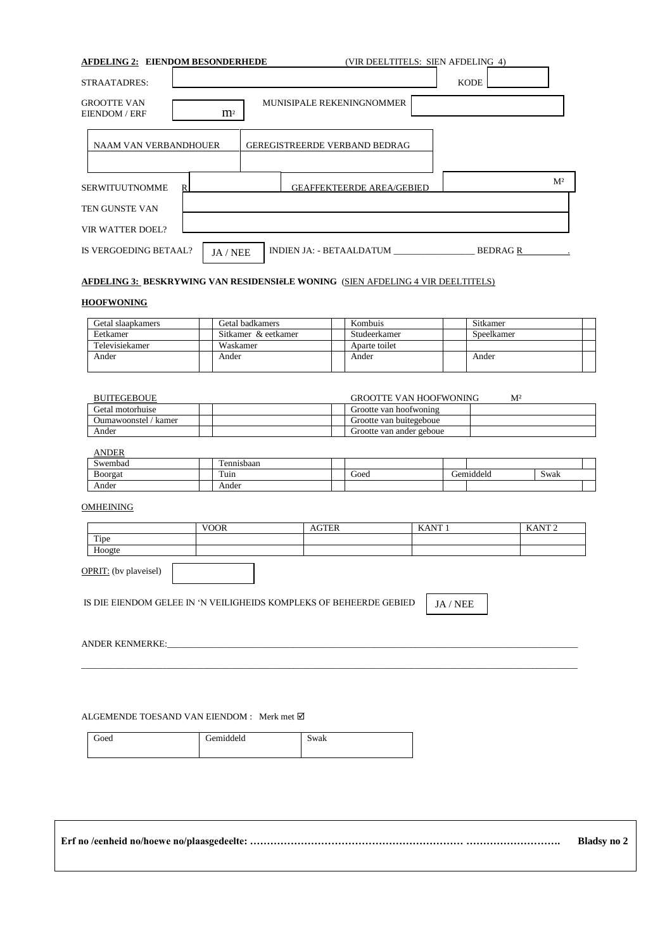| AFDELING 2: EIENDOM BESONDERHEDE           |                | (VIR DEELTITELS: SIEN AFDELING 4)    |                |
|--------------------------------------------|----------------|--------------------------------------|----------------|
| STRAATADRES:                               |                |                                      | <b>KODE</b>    |
| <b>GROOTTE VAN</b><br><b>EIENDOM / ERF</b> | m <sup>2</sup> | MUNISIPALE REKENINGNOMMER            |                |
| NAAM VAN VERBANDHOUER                      |                | <b>GEREGISTREERDE VERBAND BEDRAG</b> |                |
| <b>SERWITUUTNOMME</b>                      | R              | <b>GEAFFEKTEERDE AREA/GEBIED</b>     | M <sup>2</sup> |
| TEN GUNSTE VAN                             |                |                                      |                |
| <b>VIR WATTER DOEL?</b>                    |                |                                      |                |
| IS VERGOEDING BETAAL?                      | JA / NEE       | INDIEN JA: - BETAALDATUM             | BEDRAG R       |

# **AFDELING 3: BESKRYWING VAN RESIDENSIëLE WONING** (SIEN AFDELING 4 VIR DEELTITELS)

# **HOOFWONING**

| Getal slaapkamers | Getal badkamers     | Kombuis       | Sitkamer   |
|-------------------|---------------------|---------------|------------|
| Eetkamer          | Sitkamer & eetkamer | Studeerkamer  | Speelkamer |
| Televisiekamer    | Waskamer            | Aparte toilet |            |
| Ander             | Ander               | Ander         | Ander      |

| <b>BUITEGEBOUE</b>   |  | <b>GROOTTE VAN HOOFWONING</b> | $\mathbf{M}^2$ |
|----------------------|--|-------------------------------|----------------|
| Getal motorhuise     |  | Grootte van hoofwoning        |                |
| Oumawoonstel / kamer |  | Grootte van buitegeboue       |                |
| Ander                |  | Grootte van ander geboue      |                |

# ANDER

| Swembad | –<br>l'ennisbaan |      |                  |      |  |
|---------|------------------|------|------------------|------|--|
| Boorgat | Tuin             | Goed | <b>Temiddeld</b> | Swak |  |
| Ander   | Ander            |      |                  |      |  |

### **OMHEINING**

|        | <b>VOOR</b> | $\sqrt{2}$<br>1 EK<br>AU | <b>KANT</b><br>A. | $\Delta N T$<br>T.<br>N |
|--------|-------------|--------------------------|-------------------|-------------------------|
| Tipe   |             |                          |                   |                         |
| Hoogte |             |                          |                   |                         |

\_\_\_\_\_\_\_\_\_\_\_\_\_\_\_\_\_\_\_\_\_\_\_\_\_\_\_\_\_\_\_\_\_\_\_\_\_\_\_\_\_\_\_\_\_\_\_\_\_\_\_\_\_\_\_\_\_\_\_\_\_\_\_\_\_\_\_\_\_\_\_\_\_\_\_\_\_\_\_\_\_\_\_\_\_\_\_\_\_\_\_\_\_\_\_\_\_\_\_\_\_\_\_\_\_\_\_\_\_\_

OPRIT: (bv plaveisel)

IS DIE EIENDOM GELEE IN 'N VEILIGHEIDS KOMPLEKS OF BEHEERDE GEBIED

JA / NEE

ANDER KENMERKE:

# ALGEMENDE TOESAND VAN EIENDOM : Merk met  $\boxtimes$

| Toed | $\overline{\phantom{0}}$<br>Gemiddeld | n<br>Swak |
|------|---------------------------------------|-----------|
|      |                                       |           |

**Erf no /eenheid no/hoewe no/plaasgedeelte: ……………………………………………………… ………………………. Bladsy no 2**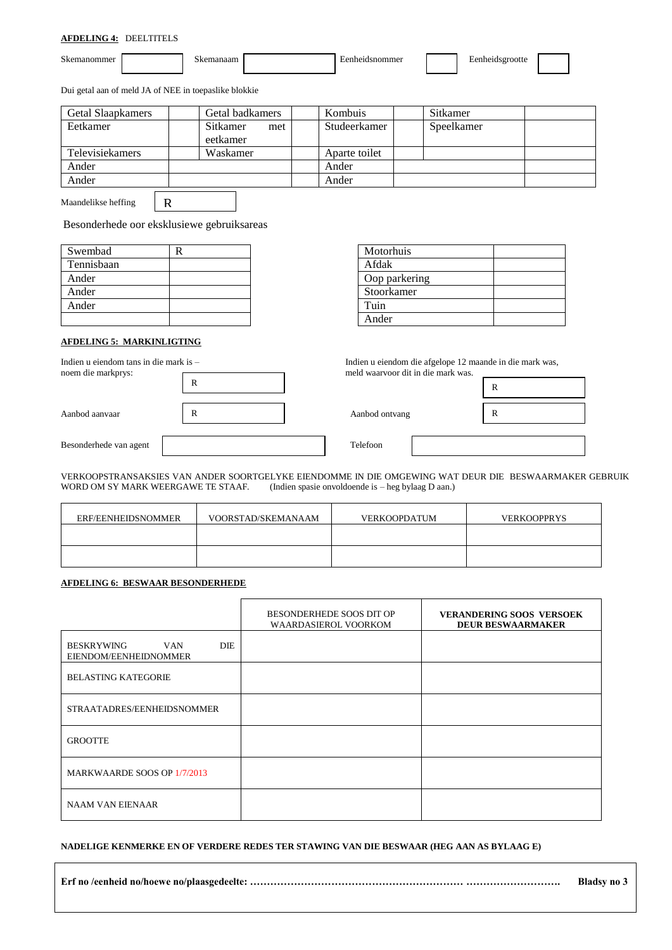#### **AFDELING 4:** DEELTITELS

| $\sim$ 1<br>אי |  |  | . |  |
|----------------|--|--|---|--|

Dui getal aan of meld JA of NEE in toepaslike blokkie

| <b>Getal Slaapkamers</b> | Getal badkamers             | Kombuis       | Sitkamer   |
|--------------------------|-----------------------------|---------------|------------|
| Eetkamer                 | Sitkamer<br>met<br>eetkamer | Studeerkamer  | Speelkamer |
|                          |                             |               |            |
| <b>Televisiekamers</b>   | Waskamer                    | Aparte toilet |            |
| Ander                    |                             | Ander         |            |
| Ander                    |                             | Ander         |            |

Maandelikse heffing

Besonderhede oor eksklusiewe gebruiksareas

R

| Swembad    |  | Motorhuis     |
|------------|--|---------------|
| Tennisbaan |  | Afdak         |
| Ander      |  | Oop parkering |
| Ander      |  | Stoorkamer    |
| Ander      |  | Tuin          |
|            |  | Ander         |

| Motorhuis     |  |
|---------------|--|
| Afdak         |  |
| Oop parkering |  |
| Stoorkamer    |  |
| Tuin          |  |
| Ander         |  |

# **AFDELING 5: MARKINLIGTING**

| Indien u eiendom tans in die mark is -<br>noem die markprys: |   | Indien u eiendom die afgelope 12 maande in die mark was,<br>meld waarvoor dit in die mark was. |   |
|--------------------------------------------------------------|---|------------------------------------------------------------------------------------------------|---|
|                                                              | R |                                                                                                | R |
| Aanbod aanvaar                                               | R | Aanbod ontvang                                                                                 | R |
| Besonderhede van agent                                       |   | Telefoon                                                                                       |   |

VERKOOPSTRANSAKSIES VAN ANDER SOORTGELYKE EIENDOMME IN DIE OMGEWING WAT DEUR DIE BESWAARMAKER GEBRUIK WORD OM SY MARK WEERGAWE TE STAAF. (Indien spasie onvoldoende is - heg bylaag D aan.) WORD OM SY MARK WEERGAWE TE STAAF.  $\,$ 

| ERF/EENHEIDSNOMMER | VOORSTAD/SKEMANAAM | <b>VERKOOPDATUM</b> | <b>VERKOOPPRYS</b> |
|--------------------|--------------------|---------------------|--------------------|
|                    |                    |                     |                    |
|                    |                    |                     |                    |

#### **AFDELING 6: BESWAAR BESONDERHEDE**

|                                                                 | BESONDERHEDE SOOS DIT OP<br><b>WAARDASIEROL VOORKOM</b> | <b>VERANDERING SOOS VERSOEK</b><br><b>DEUR BESWAARMAKER</b> |
|-----------------------------------------------------------------|---------------------------------------------------------|-------------------------------------------------------------|
| DIE<br><b>BESKRYWING</b><br><b>VAN</b><br>EIENDOM/EENHEIDNOMMER |                                                         |                                                             |
| <b>BELASTING KATEGORIE</b>                                      |                                                         |                                                             |
| STRAATADRES/EENHEIDSNOMMER                                      |                                                         |                                                             |
| <b>GROOTTE</b>                                                  |                                                         |                                                             |
| MARKWAARDE SOOS OP 1/7/2013                                     |                                                         |                                                             |
| <b>NAAM VAN EIENAAR</b>                                         |                                                         |                                                             |

# **NADELIGE KENMERKE EN OF VERDERE REDES TER STAWING VAN DIE BESWAAR (HEG AAN AS BYLAAG E)**

| Bladsy no 3 |
|-------------|
|             |